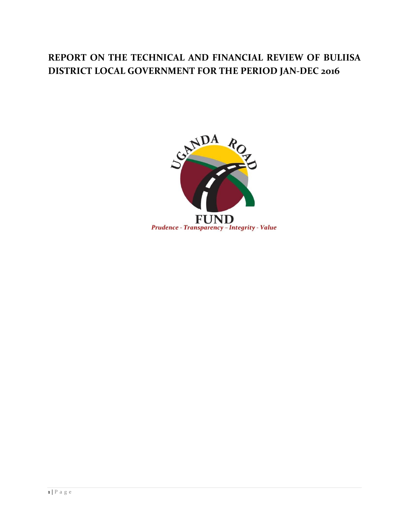## **REPORT ON THE TECHNICAL AND FINANCIAL REVIEW OF BULIISA DISTRICT LOCAL GOVERNMENT FOR THE PERIOD JAN-DEC 2016**

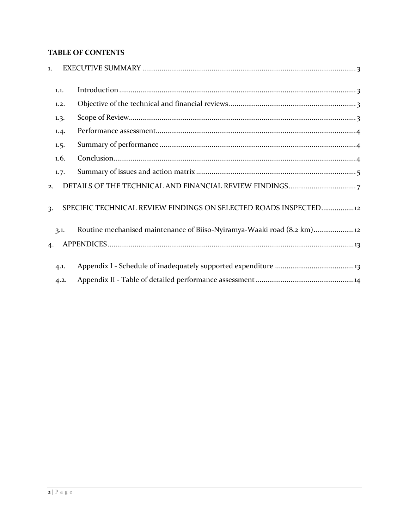## **TABLE OF CONTENTS**

| $\mathbf{1}$ .   |      |                                                                      |
|------------------|------|----------------------------------------------------------------------|
|                  | 1.1. |                                                                      |
|                  | 1.2. |                                                                      |
|                  | 1.3. |                                                                      |
|                  | 1.4. |                                                                      |
|                  | 1.5. |                                                                      |
|                  | 1.6. |                                                                      |
|                  | 1.7. |                                                                      |
| 2.               |      |                                                                      |
| $\overline{3}$ . |      | SPECIFIC TECHNICAL REVIEW FINDINGS ON SELECTED ROADS INSPECTED12     |
|                  | 3.1. | Routine mechanised maintenance of Biiso-Nyiramya-Waaki road (8.2 km) |
| $\boldsymbol{4}$ |      |                                                                      |
|                  | 4.1. |                                                                      |
|                  | 4.2. |                                                                      |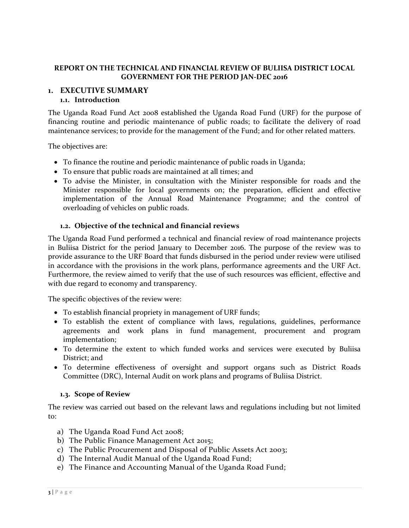## **REPORT ON THE TECHNICAL AND FINANCIAL REVIEW OF BULIISA DISTRICT LOCAL GOVERNMENT FOR THE PERIOD JAN-DEC 2016**

#### <span id="page-2-1"></span><span id="page-2-0"></span>**1. EXECUTIVE SUMMARY 1.1. Introduction**

The Uganda Road Fund Act 2008 established the Uganda Road Fund (URF) for the purpose of financing routine and periodic maintenance of public roads; to facilitate the delivery of road maintenance services; to provide for the management of the Fund; and for other related matters.

The objectives are:

- To finance the routine and periodic maintenance of public roads in Uganda;
- To ensure that public roads are maintained at all times; and
- To advise the Minister, in consultation with the Minister responsible for roads and the Minister responsible for local governments on; the preparation, efficient and effective implementation of the Annual Road Maintenance Programme; and the control of overloading of vehicles on public roads.

### **1.2. Objective of the technical and financial reviews**

<span id="page-2-2"></span>The Uganda Road Fund performed a technical and financial review of road maintenance projects in Buliisa District for the period January to December 2016. The purpose of the review was to provide assurance to the URF Board that funds disbursed in the period under review were utilised in accordance with the provisions in the work plans, performance agreements and the URF Act. Furthermore, the review aimed to verify that the use of such resources was efficient, effective and with due regard to economy and transparency.

The specific objectives of the review were:

- To establish financial propriety in management of URF funds;
- To establish the extent of compliance with laws, regulations, guidelines, performance agreements and work plans in fund management, procurement and program implementation;
- To determine the extent to which funded works and services were executed by Buliisa District; and
- To determine effectiveness of oversight and support organs such as District Roads Committee (DRC), Internal Audit on work plans and programs of Buliisa District.

#### **1.3. Scope of Review**

<span id="page-2-3"></span>The review was carried out based on the relevant laws and regulations including but not limited to:

- a) The Uganda Road Fund Act 2008;
- b) The Public Finance Management Act 2015;
- c) The Public Procurement and Disposal of Public Assets Act 2003;
- d) The Internal Audit Manual of the Uganda Road Fund;
- e) The Finance and Accounting Manual of the Uganda Road Fund;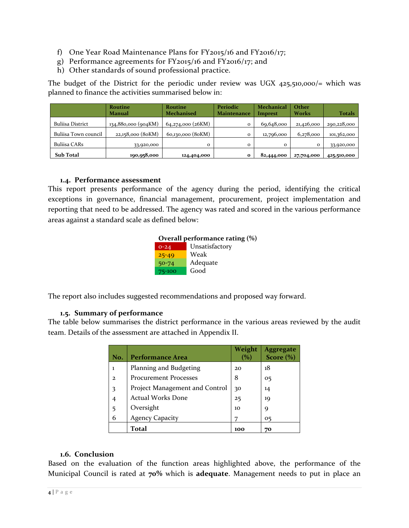- f) One Year Road Maintenance Plans for FY2015/16 and FY2016/17;
- g) Performance agreements for FY2015/16 and FY2016/17; and
- h) Other standards of sound professional practice.

The budget of the District for the periodic under review was UGX 425,510,000/= which was planned to finance the activities summarised below in:

|                         | <b>Routine</b>      | <b>Routine</b>    | Periodic     | <b>Mechanical</b> | Other        |             |
|-------------------------|---------------------|-------------------|--------------|-------------------|--------------|-------------|
|                         | <b>Manual</b>       | <b>Mechanised</b> | Maintenance  | Imprest           | <b>Works</b> | Totals      |
| <b>Buliisa District</b> | 134,880,000 (904KM) | 64,274,000 (26KM) | $\mathbf{o}$ | 69,648,000        | 21,426,000   | 290,228,000 |
| Buliisa Town council    | 22,158,000 (80KM)   | 60,130,000 (80KM) | $\mathbf{o}$ | 12,796,000        | 6,278,000    | 101,362,000 |
| <b>Buliisa CARs</b>     | 33,920,000          | $\mathbf{o}$      | $\mathbf{o}$ | $\Omega$          | $\Omega$     | 33,920,000  |
| <b>Sub Total</b>        | 190,958,000         | 124,404,000       | $\mathbf{o}$ | 82,444,000        | 27,704,000   | 425,510,000 |

#### **1.4. Performance assessment**

<span id="page-3-0"></span>This report presents performance of the agency during the period, identifying the critical exceptions in governance, financial management, procurement, project implementation and reporting that need to be addressed. The agency was rated and scored in the various performance areas against a standard scale as defined below:

| Overall performance rating (%) |                |  |  |  |
|--------------------------------|----------------|--|--|--|
| $0 - 24$                       | Unsatisfactory |  |  |  |
| $25 - 49$                      | Weak           |  |  |  |
| $50 - 74$                      | Adequate       |  |  |  |
| 75-100                         | Good           |  |  |  |

The report also includes suggested recommendations and proposed way forward.

### **1.5. Summary of performance**

<span id="page-3-1"></span>The table below summarises the district performance in the various areas reviewed by the audit team. Details of the assessment are attached in Appendix II.

| No.            | Performance Area               | Weight<br>$\%$ | <b>Aggregate</b><br>Score $(\% )$ |
|----------------|--------------------------------|----------------|-----------------------------------|
| ı              | Planning and Budgeting         | 20             | 18                                |
| $\mathcal{D}$  | <b>Procurement Processes</b>   | 8              | 05                                |
| 3              | Project Management and Control | 30             | 14                                |
| $\overline{4}$ | <b>Actual Works Done</b>       | 25             | 19                                |
| 5              | Oversight                      | 10             | 9                                 |
| 6              | <b>Agency Capacity</b>         | 7              | 05                                |
|                | <b>Total</b>                   | 100            | 70                                |

### **1.6. Conclusion**

<span id="page-3-2"></span>Based on the evaluation of the function areas highlighted above, the performance of the Municipal Council is rated at **70%** which is **adequate**. Management needs to put in place an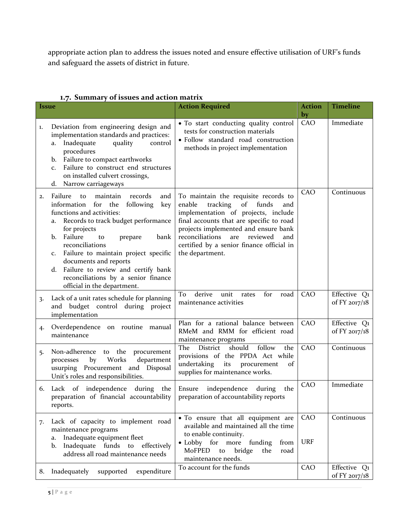appropriate action plan to address the issues noted and ensure effective utilisation of URF's funds and safeguard the assets of district in future.

<span id="page-4-0"></span>

|              | 1.7. Summary or issues and action matrix                                                                                                                                                                                                                                                                                                                                                                                            |                                                                                                                                                                                                                                                                                                                          |                     |                               |
|--------------|-------------------------------------------------------------------------------------------------------------------------------------------------------------------------------------------------------------------------------------------------------------------------------------------------------------------------------------------------------------------------------------------------------------------------------------|--------------------------------------------------------------------------------------------------------------------------------------------------------------------------------------------------------------------------------------------------------------------------------------------------------------------------|---------------------|-------------------------------|
| <b>Issue</b> |                                                                                                                                                                                                                                                                                                                                                                                                                                     | <b>Action Required</b>                                                                                                                                                                                                                                                                                                   | <b>Action</b><br>by | <b>Timeline</b>               |
| 1.           | Deviation from engineering design and<br>implementation standards and practices:<br>Inadequate<br>quality<br>control<br>a.<br>procedures<br>Failure to compact earthworks<br>b.<br>Failure to construct end structures<br>C <sub>1</sub><br>on installed culvert crossings,<br>Narrow carriageways<br>d.                                                                                                                            | • To start conducting quality control<br>tests for construction materials<br>· Follow standard road construction<br>methods in project implementation                                                                                                                                                                    | CAO                 | Immediate                     |
| 2.           | Failure<br>records<br>maintain<br>to<br>and<br>information for the<br>following<br>key<br>functions and activities:<br>Records to track budget performance<br>a.<br>for projects<br>Failure<br>b.<br>to<br>prepare<br>bank<br>reconciliations<br>Failure to maintain project specific<br>c.<br>documents and reports<br>d. Failure to review and certify bank<br>reconciliations by a senior finance<br>official in the department. | To maintain the requisite records to<br>enable<br>tracking<br>of<br>funds<br>and<br>implementation of projects, include<br>final accounts that are specific to road<br>projects implemented and ensure bank<br>reconciliations<br>reviewed<br>are<br>and<br>certified by a senior finance official in<br>the department. | CAO                 | Continuous                    |
| 3.           | Lack of a unit rates schedule for planning<br>and budget control during project<br>implementation                                                                                                                                                                                                                                                                                                                                   | To<br>derive<br>unit<br>for<br>rates<br>road<br>maintenance activities                                                                                                                                                                                                                                                   | CAO                 | Effective Q1<br>of FY 2017/18 |
| 4.           | Overdependence on routine manual<br>maintenance                                                                                                                                                                                                                                                                                                                                                                                     | Plan for a rational balance between<br>RMeM and RMM for efficient road<br>maintenance programs                                                                                                                                                                                                                           | CAO                 | Effective Q1<br>of FY 2017/18 |
| 5.           | Non-adherence to the<br>procurement<br>Works<br>department<br>by<br>processes<br>usurping Procurement and Disposal<br>Unit's roles and responsibilities.                                                                                                                                                                                                                                                                            | follow<br>should<br>District<br>the<br>The<br>provisions of the PPDA Act while<br>undertaking<br>its<br>procurement<br>of<br>supplies for maintenance works.                                                                                                                                                             | CAO                 | Continuous                    |
| 6.           | Lack of independence during the<br>preparation of financial accountability $\vert$ preparation of accountability reports<br>reports.                                                                                                                                                                                                                                                                                                | Ensure independence<br>during<br>the                                                                                                                                                                                                                                                                                     | CAO                 | Immediate                     |
| 7.           | Lack of capacity to implement road<br>maintenance programs<br>Inadequate equipment fleet<br>a.<br>Inadequate funds to effectively<br>b.<br>address all road maintenance needs                                                                                                                                                                                                                                                       | • To ensure that all equipment are<br>available and maintained all the time<br>to enable continuity.<br>• Lobby for more<br>funding<br>from<br>MoFPED<br>bridge<br>to<br>the<br>road<br>maintenance needs.                                                                                                               | CAO<br><b>URF</b>   | Continuous                    |
| 8.           | expenditure<br>Inadequately<br>supported                                                                                                                                                                                                                                                                                                                                                                                            | To account for the funds                                                                                                                                                                                                                                                                                                 | CAO                 | Effective Q1<br>of FY 2017/18 |

## **1.7. Summary of issues and action matrix**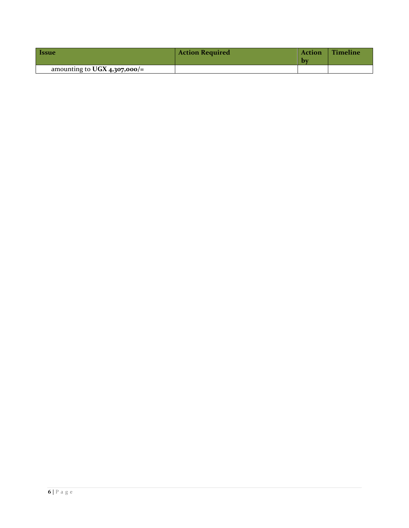| <i><u><b>Issue</b></u></i>     | <b>Action Required</b> | <b>Action</b><br>Þν | Timeline |
|--------------------------------|------------------------|---------------------|----------|
| amounting to UGX $4,307,000/=$ |                        |                     |          |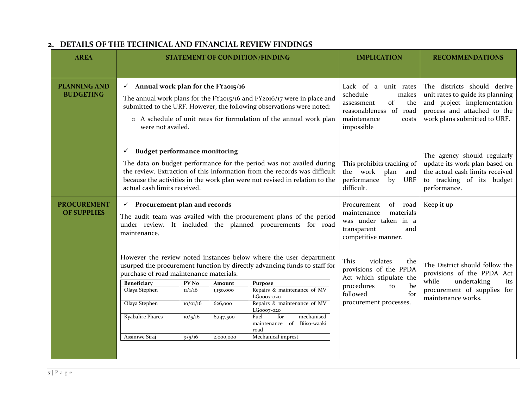<span id="page-6-0"></span>

| <b>AREA</b>                              | <b>STATEMENT OF CONDITION/FINDING</b>                                                                                                                                                           |                                                                                                                                                                                                                                                                           | <b>IMPLICATION</b>  | <b>RECOMMENDATIONS</b>                                                                                                                                                                                                           |                                                                                                                                      |                                                                                                                                                              |
|------------------------------------------|-------------------------------------------------------------------------------------------------------------------------------------------------------------------------------------------------|---------------------------------------------------------------------------------------------------------------------------------------------------------------------------------------------------------------------------------------------------------------------------|---------------------|----------------------------------------------------------------------------------------------------------------------------------------------------------------------------------------------------------------------------------|--------------------------------------------------------------------------------------------------------------------------------------|--------------------------------------------------------------------------------------------------------------------------------------------------------------|
|                                          |                                                                                                                                                                                                 |                                                                                                                                                                                                                                                                           |                     |                                                                                                                                                                                                                                  |                                                                                                                                      |                                                                                                                                                              |
| <b>PLANNING AND</b><br><b>BUDGETING</b>  | were not availed.                                                                                                                                                                               | $\checkmark$ Annual work plan for the FY2015/16<br>The annual work plans for the FY2015/16 and FY2016/17 were in place and<br>submitted to the URF. However, the following observations were noted:<br>o A schedule of unit rates for formulation of the annual work plan |                     |                                                                                                                                                                                                                                  | Lack of a unit rates<br>schedule<br>makes<br>of<br>the<br>assessment<br>reasonableness of road<br>maintenance<br>costs<br>impossible | The districts should derive<br>unit rates to guide its planning<br>and project implementation<br>process and attached to the<br>work plans submitted to URF. |
|                                          | <b>Budget performance monitoring</b><br>✓<br>actual cash limits received.                                                                                                                       |                                                                                                                                                                                                                                                                           |                     | The data on budget performance for the period was not availed during<br>the review. Extraction of this information from the records was difficult<br>because the activities in the work plan were not revised in relation to the | This prohibits tracking of<br>the work plan<br>and<br>performance<br>by<br>URF<br>difficult.                                         | The agency should regularly<br>update its work plan based on<br>the actual cash limits received<br>to tracking of its budget<br>performance.                 |
| <b>PROCUREMENT</b><br><b>OF SUPPLIES</b> | $\checkmark$ Procurement plan and records<br>The audit team was availed with the procurement plans of the period<br>under review. It included the planned procurements for road<br>maintenance. |                                                                                                                                                                                                                                                                           |                     |                                                                                                                                                                                                                                  | of road<br>Procurement<br>materials<br>maintenance<br>was under taken in a<br>transparent<br>and<br>competitive manner.              | Keep it up                                                                                                                                                   |
|                                          | However the review noted instances below where the user department<br>usurped the procurement function by directly advancing funds to staff for<br>purchase of road maintenance materials.      |                                                                                                                                                                                                                                                                           |                     |                                                                                                                                                                                                                                  | This<br>violates<br>the<br>provisions of the PPDA<br>Act which stipulate the                                                         | The District should follow the<br>provisions of the PPDA Act                                                                                                 |
|                                          | <b>Beneficiary</b><br>Olaya Stephen                                                                                                                                                             | PV <sub>No</sub><br>11/1/16                                                                                                                                                                                                                                               | Amount<br>1,150,000 | Purpose<br>Repairs & maintenance of MV                                                                                                                                                                                           | procedures<br>be<br>to                                                                                                               | undertaking<br>while<br>its<br>procurement of supplies for                                                                                                   |
|                                          | Olaya Stephen                                                                                                                                                                                   | 10/01/16                                                                                                                                                                                                                                                                  | 626,000             | LG0007-020<br>Repairs & maintenance of MV                                                                                                                                                                                        | for<br>followed<br>procurement processes.                                                                                            | maintenance works.                                                                                                                                           |
|                                          | <b>Kyabalire Phares</b>                                                                                                                                                                         | 10/5/16                                                                                                                                                                                                                                                                   | 6,147,500           | LG0007-020<br>for<br>mechanised<br>Fuel<br>Biiso-waaki<br>maintenance of<br>road                                                                                                                                                 |                                                                                                                                      |                                                                                                                                                              |
|                                          | Assimwe Siraj                                                                                                                                                                                   | 9/5/16                                                                                                                                                                                                                                                                    | 2,000,000           | Mechanical imprest                                                                                                                                                                                                               |                                                                                                                                      |                                                                                                                                                              |

## **2. DETAILS OF THE TECHNICAL AND FINANCIAL REVIEW FINDINGS**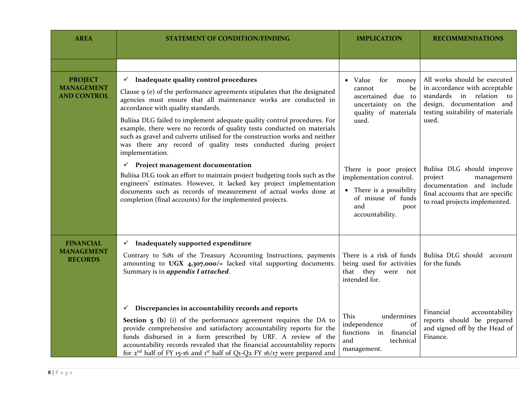| <b>AREA</b>                                               | <b>STATEMENT OF CONDITION/FINDING</b>                                                                                                                                                                                                                                                                                                                                                                                                                                                                                                                                       | <b>IMPLICATION</b>                                                                                                                   | <b>RECOMMENDATIONS</b>                                                                                                                                              |
|-----------------------------------------------------------|-----------------------------------------------------------------------------------------------------------------------------------------------------------------------------------------------------------------------------------------------------------------------------------------------------------------------------------------------------------------------------------------------------------------------------------------------------------------------------------------------------------------------------------------------------------------------------|--------------------------------------------------------------------------------------------------------------------------------------|---------------------------------------------------------------------------------------------------------------------------------------------------------------------|
|                                                           |                                                                                                                                                                                                                                                                                                                                                                                                                                                                                                                                                                             |                                                                                                                                      |                                                                                                                                                                     |
| <b>PROJECT</b><br><b>MANAGEMENT</b><br><b>AND CONTROL</b> | $\checkmark$ Inadequate quality control procedures<br>Clause $\varphi$ (e) of the performance agreements stipulates that the designated<br>agencies must ensure that all maintenance works are conducted in<br>accordance with quality standards.<br>Buliisa DLG failed to implement adequate quality control procedures. For<br>example, there were no records of quality tests conducted on materials<br>such as gravel and culverts utilised for the construction works and neither<br>was there any record of quality tests conducted during project<br>implementation. | • Value<br>for<br>money<br>be<br>cannot<br>ascertained due to<br>uncertainty on the<br>quality of materials<br>used.                 | All works should be executed<br>in accordance with acceptable<br>standards in relation to<br>design, documentation and<br>testing suitability of materials<br>used. |
|                                                           | Project management documentation<br>$\checkmark$<br>Buliisa DLG took an effort to maintain project budgeting tools such as the<br>engineers' estimates. However, it lacked key project implementation<br>documents such as records of measurement of actual works done at<br>completion (final accounts) for the implemented projects.                                                                                                                                                                                                                                      | There is poor project<br>implementation control.<br>• There is a possibility<br>of misuse of funds<br>and<br>poor<br>accountability. | Buliisa DLG should improve<br>management<br>project<br>documentation and include<br>final accounts that are specific<br>to road projects implemented.               |
| <b>FINANCIAL</b><br><b>MANAGEMENT</b><br><b>RECORDS</b>   | $\checkmark$ Inadequately supported expenditure<br>Contrary to S181 of the Treasury Accounting Instructions, payments<br>amounting to UGX 4,307,000/= lacked vital supporting documents.<br>Summary is in appendix I attached.                                                                                                                                                                                                                                                                                                                                              | There is a risk of funds<br>being used for activities<br>that they were<br>not<br>intended for.                                      | Buliisa DLG should account<br>for the funds                                                                                                                         |
|                                                           | Discrepancies in accountability records and reports<br>$\checkmark$<br><b>Section 5 (b)</b> (i) of the performance agreement requires the DA to<br>provide comprehensive and satisfactory accountability reports for the<br>funds disbursed in a form prescribed by URF. A review of the<br>accountability records revealed that the financial accountability reports<br>for $2^{nd}$ half of FY 15-16 and 1st half of Q1-Q2 FY 16/17 were prepared and                                                                                                                     | This<br>undermines<br>of<br>independence<br>functions in<br>financial<br>and<br>technical<br>management.                             | Financial<br>accountability<br>reports should be prepared<br>and signed off by the Head of<br>Finance.                                                              |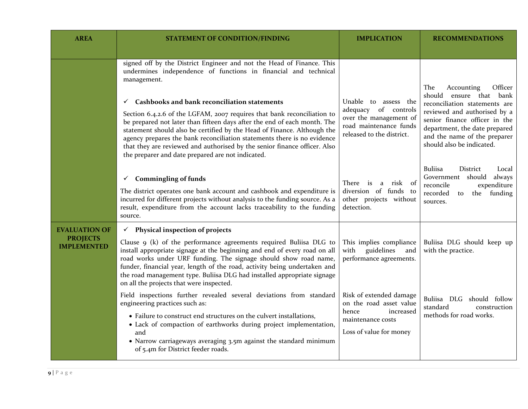| <b>AREA</b>                           | <b>STATEMENT OF CONDITION/FINDING</b>                                                                                                                                                                                                                                                                                                                                                                                                                                                                                                                                                                                                                                  | <b>IMPLICATION</b>                                                                                                            | <b>RECOMMENDATIONS</b>                                                                                                                                                                                                                                     |
|---------------------------------------|------------------------------------------------------------------------------------------------------------------------------------------------------------------------------------------------------------------------------------------------------------------------------------------------------------------------------------------------------------------------------------------------------------------------------------------------------------------------------------------------------------------------------------------------------------------------------------------------------------------------------------------------------------------------|-------------------------------------------------------------------------------------------------------------------------------|------------------------------------------------------------------------------------------------------------------------------------------------------------------------------------------------------------------------------------------------------------|
|                                       |                                                                                                                                                                                                                                                                                                                                                                                                                                                                                                                                                                                                                                                                        |                                                                                                                               |                                                                                                                                                                                                                                                            |
|                                       | signed off by the District Engineer and not the Head of Finance. This<br>undermines independence of functions in financial and technical<br>management.<br>Cashbooks and bank reconciliation statements<br>$\checkmark$<br>Section 6.4.2.6 of the LGFAM, 2007 requires that bank reconciliation to<br>be prepared not later than fifteen days after the end of each month. The<br>statement should also be certified by the Head of Finance. Although the<br>agency prepares the bank reconciliation statements there is no evidence<br>that they are reviewed and authorised by the senior finance officer. Also<br>the preparer and date prepared are not indicated. | Unable to assess the<br>adequacy of controls<br>over the management of<br>road maintenance funds<br>released to the district. | Officer<br>The<br>Accounting<br>should<br>ensure that bank<br>reconciliation statements are<br>reviewed and authorised by a<br>senior finance officer in the<br>department, the date prepared<br>and the name of the preparer<br>should also be indicated. |
|                                       | <b>Commingling of funds</b><br>$\checkmark$<br>The district operates one bank account and cashbook and expenditure is<br>incurred for different projects without analysis to the funding source. As a<br>result, expenditure from the account lacks traceability to the funding<br>source.                                                                                                                                                                                                                                                                                                                                                                             | There is<br>risk of<br>a<br>diversion of funds to<br>other projects without<br>detection.                                     | <b>Buliisa</b><br><b>District</b><br>Local<br>Government should always<br>reconcile<br>expenditure<br>recorded<br>the funding<br>to<br>sources.                                                                                                            |
| <b>EVALUATION OF</b>                  | Physical inspection of projects<br>$\checkmark$                                                                                                                                                                                                                                                                                                                                                                                                                                                                                                                                                                                                                        |                                                                                                                               |                                                                                                                                                                                                                                                            |
| <b>PROJECTS</b><br><b>IMPLEMENTED</b> | Clause $9$ (k) of the performance agreements required Buliisa DLG to<br>install appropriate signage at the beginning and end of every road on all<br>road works under URF funding. The signage should show road name,<br>funder, financial year, length of the road, activity being undertaken and<br>the road management type. Buliisa DLG had installed appropriate signage<br>on all the projects that were inspected.                                                                                                                                                                                                                                              | This implies compliance<br>guidelines<br>with<br>and<br>performance agreements.                                               | Buliisa DLG should keep up<br>with the practice.                                                                                                                                                                                                           |
|                                       | Field inspections further revealed several deviations from standard<br>engineering practices such as:                                                                                                                                                                                                                                                                                                                                                                                                                                                                                                                                                                  | Risk of extended damage<br>on the road asset value<br>increased<br>hence                                                      | Buliisa DLG should follow<br>standard<br>construction                                                                                                                                                                                                      |
|                                       | • Failure to construct end structures on the culvert installations,<br>• Lack of compaction of earthworks during project implementation,<br>and<br>• Narrow carriageways averaging 3.5m against the standard minimum                                                                                                                                                                                                                                                                                                                                                                                                                                                   | maintenance costs<br>Loss of value for money                                                                                  | methods for road works.                                                                                                                                                                                                                                    |
|                                       | of 5.4m for District feeder roads.                                                                                                                                                                                                                                                                                                                                                                                                                                                                                                                                                                                                                                     |                                                                                                                               |                                                                                                                                                                                                                                                            |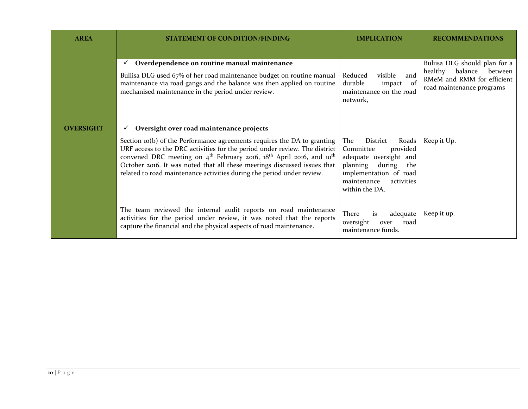| <b>AREA</b>      | <b>STATEMENT OF CONDITION/FINDING</b>                                                                                                                                                                                                                                                                                                                                                                                                                                                   | <b>IMPLICATION</b>                                                                                                                                                             | <b>RECOMMENDATIONS</b>                                                                                                    |
|------------------|-----------------------------------------------------------------------------------------------------------------------------------------------------------------------------------------------------------------------------------------------------------------------------------------------------------------------------------------------------------------------------------------------------------------------------------------------------------------------------------------|--------------------------------------------------------------------------------------------------------------------------------------------------------------------------------|---------------------------------------------------------------------------------------------------------------------------|
|                  | Overdependence on routine manual maintenance<br>Buliisa DLG used 67% of her road maintenance budget on routine manual<br>maintenance via road gangs and the balance was then applied on routine<br>mechanised maintenance in the period under review.                                                                                                                                                                                                                                   | Reduced<br>visible<br>and<br>durable<br>impact<br>- of<br>maintenance on the road<br>network,                                                                                  | Buliisa DLG should plan for a<br>balance<br>healthy<br>between<br>RMeM and RMM for efficient<br>road maintenance programs |
| <b>OVERSIGHT</b> | Oversight over road maintenance projects<br>$\checkmark$<br>Section $\log(b)$ of the Performance agreements requires the DA to granting<br>URF access to the DRC activities for the period under review. The district<br>convened DRC meeting on 4 <sup>th</sup> February 2016, 18 <sup>th</sup> April 2016, and 10 <sup>th</sup><br>October 2016. It was noted that all these meetings discussed issues that<br>related to road maintenance activities during the period under review. | The<br>District<br>Roads<br>provided<br>Committee<br>adequate oversight and<br>during the<br>planning<br>implementation of road<br>maintenance<br>activities<br>within the DA. | Keep it Up.                                                                                                               |
|                  | The team reviewed the internal audit reports on road maintenance<br>activities for the period under review, it was noted that the reports<br>capture the financial and the physical aspects of road maintenance.                                                                                                                                                                                                                                                                        | There<br>is<br>adequate<br>oversight<br>road<br>over<br>maintenance funds.                                                                                                     | Keep it up.                                                                                                               |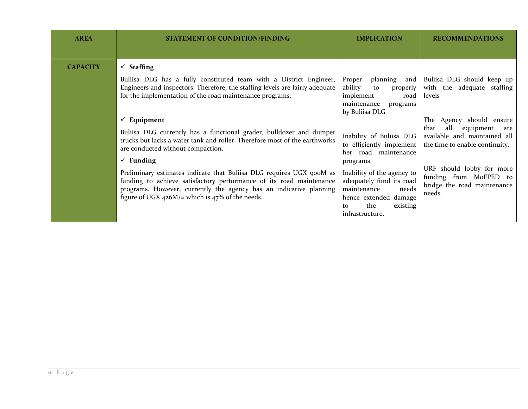| <b>AREA</b>     | <b>STATEMENT OF CONDITION/FINDING</b>                                                                                                                                                                                                                                                                                                                                                                                                                                                                                                                                                                                                                                                                                                                             | <b>IMPLICATION</b>                                                                                                                                                                                                                                                                                                                                                       | <b>RECOMMENDATIONS</b>                                                                                                                                                                                                                                                                              |
|-----------------|-------------------------------------------------------------------------------------------------------------------------------------------------------------------------------------------------------------------------------------------------------------------------------------------------------------------------------------------------------------------------------------------------------------------------------------------------------------------------------------------------------------------------------------------------------------------------------------------------------------------------------------------------------------------------------------------------------------------------------------------------------------------|--------------------------------------------------------------------------------------------------------------------------------------------------------------------------------------------------------------------------------------------------------------------------------------------------------------------------------------------------------------------------|-----------------------------------------------------------------------------------------------------------------------------------------------------------------------------------------------------------------------------------------------------------------------------------------------------|
| <b>CAPACITY</b> | $\checkmark$ Staffing<br>Buliisa DLG has a fully constituted team with a District Engineer,<br>Engineers and inspectors. Therefore, the staffing levels are fairly adequate<br>for the implementation of the road maintenance programs.<br>$\checkmark$ Equipment<br>Buliisa DLG currently has a functional grader, bulldozer and dumper<br>trucks but lacks a water tank and roller. Therefore most of the earthworks<br>are conducted without compaction.<br>$\checkmark$ Funding<br>Preliminary estimates indicate that Buliisa DLG requires UGX 900M as<br>funding to achieve satisfactory performance of its road maintenance<br>programs. However, currently the agency has an indicative planning<br>figure of UGX $426M$ /= which is $47\%$ of the needs. | Proper<br>planning and<br>ability<br>properly<br>to<br>implement<br>road<br>maintenance<br>programs<br>by Buliisa DLG<br>Inability of Buliisa DLG<br>to efficiently implement<br>her road maintenance<br>programs<br>Inability of the agency to<br>adequately fund its road<br>maintenance<br>needs<br>hence extended damage<br>the<br>existing<br>to<br>infrastructure. | Buliisa DLG should keep up<br>with the adequate staffing<br>levels<br>The Agency should ensure<br>all<br>that<br>equipment<br>are<br>available and maintained all<br>the time to enable continuity.<br>URF should lobby for more<br>funding from MoFPED to<br>bridge the road maintenance<br>needs. |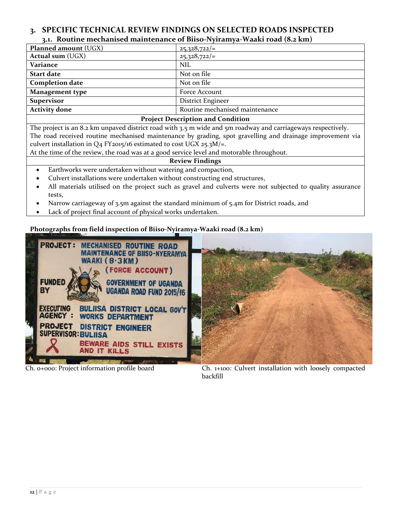## <span id="page-11-0"></span>**3. SPECIFIC TECHNICAL REVIEW FINDINGS ON SELECTED ROADS INSPECTED 3.1. Routine mechanised maintenance of Biiso-Nyiramya-Waaki road (8.2 km)**

<span id="page-11-1"></span>

| <b>Planned amount (UGX)</b>      | $25,328,722/=$                 |  |  |
|----------------------------------|--------------------------------|--|--|
| <b>Actual sum (UGX)</b>          | $25,328,722/=$                 |  |  |
| Variance                         | <b>NIL</b>                     |  |  |
| <b>Start date</b>                | Not on file                    |  |  |
| <b>Completion date</b>           | Not on file                    |  |  |
| <b>Management type</b>           | Force Account                  |  |  |
| <b>Supervisor</b>                | District Engineer              |  |  |
| <b>Activity done</b>             | Routine mechanised maintenance |  |  |
| Droinet Decembrian and Condition |                                |  |  |

#### **Project Description and Condition**

The project is an 8.2 km unpaved district road with 3.5 m wide and 5m roadway and carriageways respectively. The road received routine mechanised maintenance by grading, spot gravelling and drainage improvement via culvert installation in  $Q_4$  FY<sub>2015</sub>/16 estimated to cost UGX 25.3M/=.

At the time of the review, the road was at a good service level and motorable throughout.

#### **Review Findings**

- Earthworks were undertaken without watering and compaction,
- Culvert installations were undertaken without constructing end structures,
- All materials utilised on the project such as gravel and culverts were not subjected to quality assurance tests,
- Narrow carriageway of 3.5m against the standard minimum of 5.4m for District roads, and
- Lack of project final account of physical works undertaken.

## **Photographs from field inspection of Biiso-Nyiramya-Waaki road (8.2 km)**



Ch. 0+000: Project information profile board Ch. 1+100: Culvert installation with loosely compacted backfill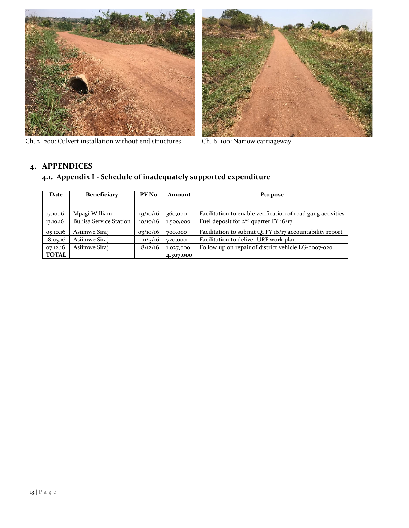

Ch. 2+200: Culvert installation without end structures Ch. 6+100: Narrow carriageway



## <span id="page-12-1"></span><span id="page-12-0"></span>**4. APPENDICES**

## **4.1. Appendix I - Schedule of inadequately supported expenditure**

| Date         | <b>Beneficiary</b>             | PV No    | Amount    | <b>Purpose</b>                                              |  |  |
|--------------|--------------------------------|----------|-----------|-------------------------------------------------------------|--|--|
|              |                                |          |           |                                                             |  |  |
| 17.10.16     | Mpagi William                  | 19/10/16 | 360,000   | Facilitation to enable verification of road gang activities |  |  |
| 13.10.16     | <b>Buliisa Service Station</b> | 10/10/16 | 1,500,000 | Fuel deposit for $2^{nd}$ quarter FY 16/17                  |  |  |
| 05.10.16     | Asiimwe Siraj                  | 03/10/16 | 700,000   | Facilitation to submit Q1 FY 16/17 accountability report    |  |  |
| 18.05.16     | Asiimwe Sirai                  | 11/5/16  | 720,000   | Facilitation to deliver URF work plan                       |  |  |
| 07.12.16     | Asiimwe Sirai                  | 8/12/16  | 1,027,000 | Follow up on repair of district vehicle LG-0007-020         |  |  |
| <b>TOTAL</b> |                                |          | 4,307,000 |                                                             |  |  |